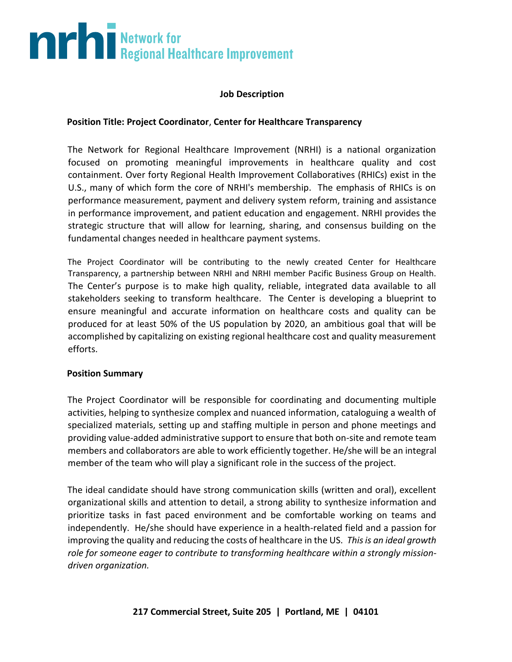# **The Second Burns of Second Healthcare Improvement**

### **Job Description**

### **Position Title: Project Coordinator**, **Center for Healthcare Transparency**

The Network for Regional Healthcare Improvement (NRHI) is a national organization focused on promoting meaningful improvements in healthcare quality and cost containment. Over forty Regional Health Improvement Collaboratives (RHICs) exist in the U.S., many of which form the core of NRHI's membership. The emphasis of RHICs is on performance measurement, payment and delivery system reform, training and assistance in performance improvement, and patient education and engagement. NRHI provides the strategic structure that will allow for learning, sharing, and consensus building on the fundamental changes needed in healthcare payment systems.

The Project Coordinator will be contributing to the newly created Center for Healthcare Transparency, a partnership between NRHI and NRHI member Pacific Business Group on Health. The Center's purpose is to make high quality, reliable, integrated data available to all stakeholders seeking to transform healthcare. The Center is developing a blueprint to ensure meaningful and accurate information on healthcare costs and quality can be produced for at least 50% of the US population by 2020, an ambitious goal that will be accomplished by capitalizing on existing regional healthcare cost and quality measurement efforts.

#### **Position Summary**

The Project Coordinator will be responsible for coordinating and documenting multiple activities, helping to synthesize complex and nuanced information, cataloguing a wealth of specialized materials, setting up and staffing multiple in person and phone meetings and providing value-added administrative support to ensure that both on-site and remote team members and collaborators are able to work efficiently together. He/she will be an integral member of the team who will play a significant role in the success of the project.

The ideal candidate should have strong communication skills (written and oral), excellent organizational skills and attention to detail, a strong ability to synthesize information and prioritize tasks in fast paced environment and be comfortable working on teams and independently. He/she should have experience in a health-related field and a passion for improving the quality and reducing the costs of healthcare in the US. *This is an ideal growth role for someone eager to contribute to transforming healthcare within a strongly missiondriven organization.*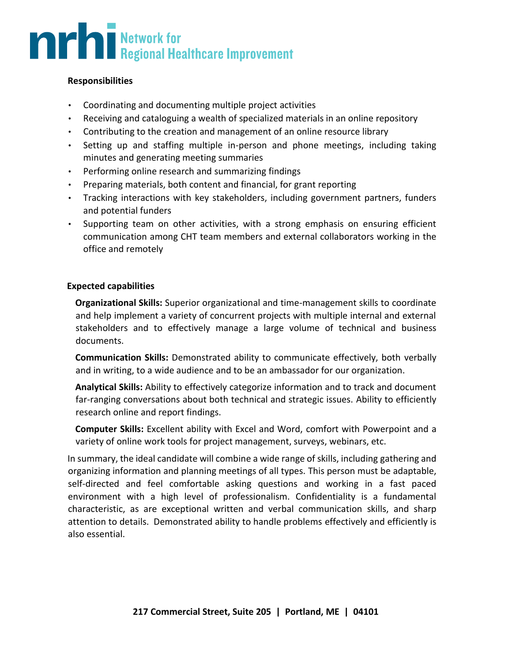## **THE Regional Healthcare Improvement**

### **Responsibilities**

- Coordinating and documenting multiple project activities
- Receiving and cataloguing a wealth of specialized materials in an online repository
- Contributing to the creation and management of an online resource library
- Setting up and staffing multiple in-person and phone meetings, including taking minutes and generating meeting summaries
- Performing online research and summarizing findings
- Preparing materials, both content and financial, for grant reporting
- Tracking interactions with key stakeholders, including government partners, funders and potential funders
- Supporting team on other activities, with a strong emphasis on ensuring efficient communication among CHT team members and external collaborators working in the office and remotely

### **Expected capabilities**

**Organizational Skills:** Superior organizational and time-management skills to coordinate and help implement a variety of concurrent projects with multiple internal and external stakeholders and to effectively manage a large volume of technical and business documents.

**Communication Skills:** Demonstrated ability to communicate effectively, both verbally and in writing, to a wide audience and to be an ambassador for our organization.

**Analytical Skills:** Ability to effectively categorize information and to track and document far-ranging conversations about both technical and strategic issues. Ability to efficiently research online and report findings.

**Computer Skills:** Excellent ability with Excel and Word, comfort with Powerpoint and a variety of online work tools for project management, surveys, webinars, etc.

In summary, the ideal candidate will combine a wide range of skills, including gathering and organizing information and planning meetings of all types. This person must be adaptable, self-directed and feel comfortable asking questions and working in a fast paced environment with a high level of professionalism. Confidentiality is a fundamental characteristic, as are exceptional written and verbal communication skills, and sharp attention to details. Demonstrated ability to handle problems effectively and efficiently is also essential.